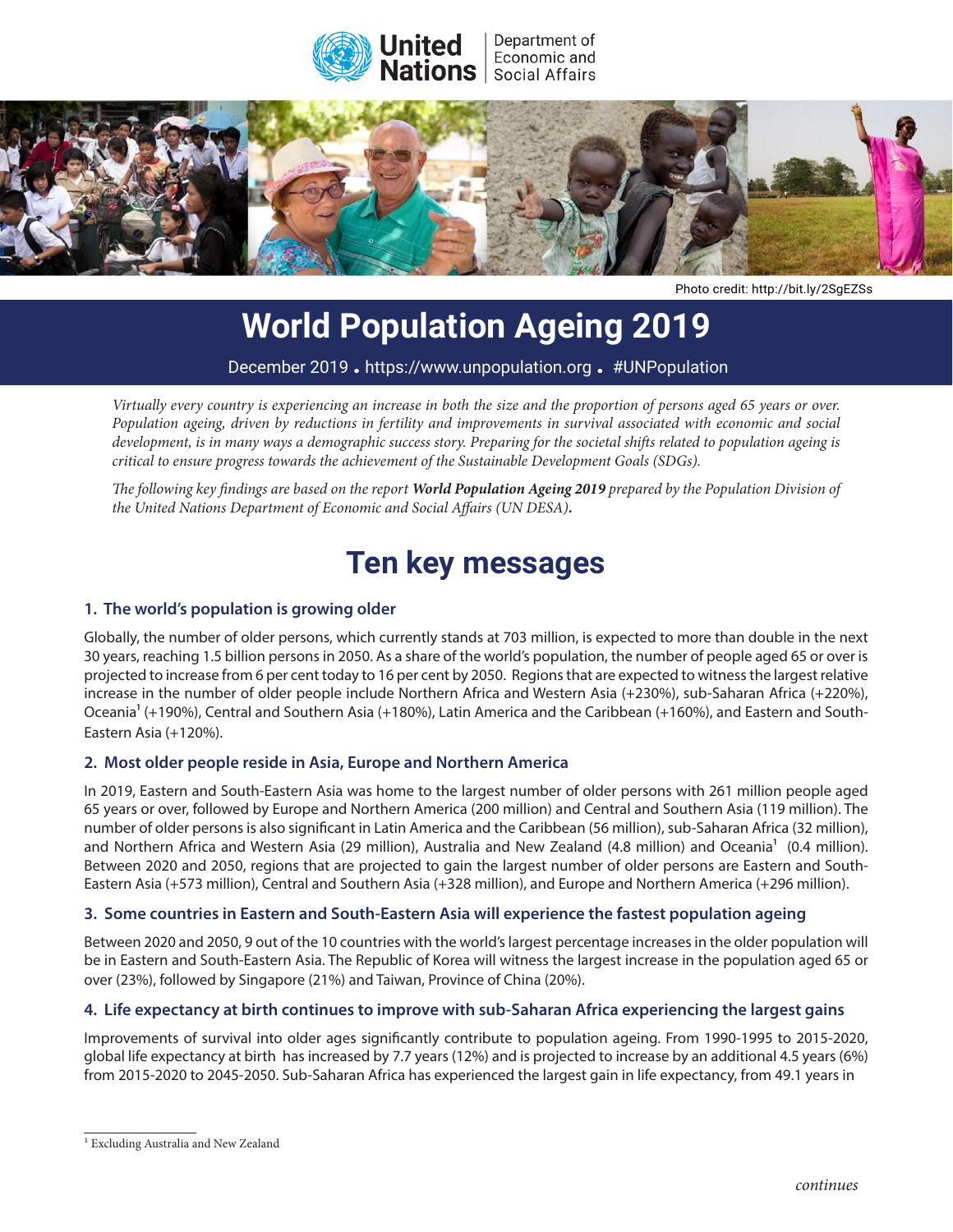



Photo credit: http://bit.ly/2SgEZSs

# **World Population Ageing 2019**

December 2019 **.** https://www.unpopulation.org **.** #UNPopulation

The world's population is growing larger and older, while also becoming more mobile and more *Population ageing, driven by reductions in fertility and improvements in survival associated with economic and social*  development, is in many ways a demographic success story. Preparing for the societal shifts related to population ageing is *critical to ensure progress towards the achievement of the Sustainable Development Goals (SDGs).*<br>critical to ensure progress towards the achievement of the Sustainable Development Goals (SDGs).  $\frac{1}{\sigma}$  following key finding are based on a report of the Secretary-General which reviews the implementation  $\frac{1}{\sigma}$ *Virtually every country is experiencing an increase in both the size and the proportion of persons aged 65 years or over.* 

The following key findings are based on the report **World Population Ageing 2019** prepared by the Population Division of and Development (ICPD), adopted in Cairo in 1994. *the United Nations Department of Economic and Social Affairs (UN DESA).*

## **Key findings Ten key messages**

## **1.** The world's population is growing older *programme of Action*

 $T_{\rm eff}$  is well has wither  $p$  in implementing the ICPD  $p$  in implementing  $p$ Globally, the number of older persons, which currently stands at 703 million, is expected to more than double in the next<br>Care in the next is a 4.5 killion contract 2050 Appellary of the next is expected to more than doubl projected to increase from 6 per cent today to 16 per cent by 2050. Regions that are expected to witness the largest relative projected to increase from 6 per cent today to 16 per cent by 2050. Regions that are expected to .<br>increase in the number of older people include Northern Africa and Western Asia (+230%), sub-Saharan Africa (+220%), Oceania<sup>1</sup> (+190%), Central and Southern Asia (+180%), Latin America and the Caribbean (+160%), and Eastern and South-30 years, reaching 1.5 billion persons in 2050. As a share of the world's population, the number of people aged 65 or over is Eastern Asia (+120%).

#### **2. Nevertheless, progress has been uneven, and some major gaps remain 2. Most older people reside in Asia, Europe and Northern America**

In 2019, Eastern and South-Eastern Asia was home to the largest number of older persons with 261 million people aged m 2019, 2006 m and 900m 2006 m half was nome to the targest namber of Stati persons with 2014 million people aged<br>65 years or over, followed by Europe and Northern America (200 million) and Central and Southern Asia (119 m number of older persons is also significant in Latin America and the Caribbean (56 million), sub-Saharan Africa (32 million), and Northern Africa and Western Asia (29 million), Australia and New Zealand (4.8 million) and Oceania<sup>1</sup> (0.4 million). Between 2020 and 2050, regions that are projected to gain the largest number of older persons are Eastern and South-Eastern Asia (+573 million), Central and Southern Asia (+328 million), and Europe and Northern America (+296 million).

#### **3. World's population is expected to continue to grow, albeit at a declining rate** 3. Some countries in Eastern and South-Eastern Asia will experience the fastest population ageing

Between 2020 and 2050, 9 out of the 10 countries with the world's largest percentage increases in the older population will be in Eastern and South-Eastern Asia. The Republic of Korea will witness the largest increase in the population aged 65 or<br>2001/2206 followed by Singanora (2106) and Taiwan, Province of China (2006)  $\left(2\cdot\right)$ , remains a complete  $\left(2\cdot\right)$  and remain, remains  $\left(2\cdot\right)$ , over (23%), followed by Singapore (21%) and Taiwan, Province of China (20%).

### 4. Life expectancy at birth continues to improve with sub-Saharan Africa experiencing the largest gains **proxit**

dobal life expectancy at birth has increased by 7.7 years (12%) and is projected to increase by an additional 4.5 years (6%) from 2015-2020 to 2045-2050. Sub-Saharan Africa has experienced the largest gain in life expectancy, from 49.1 years in Improvements of survival into older ages significantly contribute to population ageing. From 1990-1995 to 2015-2020,

<sup>1</sup> Excluding Australia and New Zealand